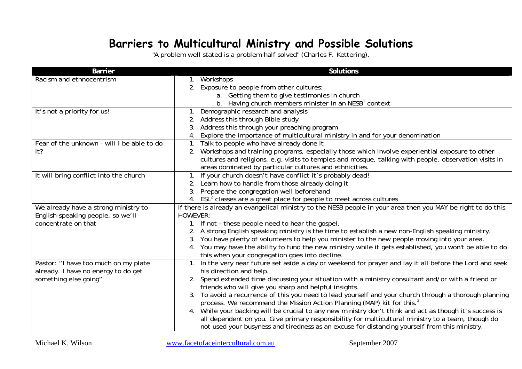## **Barriers to Multicultural Ministry and Possible Solutions**

"A problem well stated is a problem half solved" (Ch arles F. Kettering).

| <b>Barrier</b>                                               | <b>Solutions</b>                                                                                                                                             |
|--------------------------------------------------------------|--------------------------------------------------------------------------------------------------------------------------------------------------------------|
| Racism and ethnocentrism                                     | Workshops                                                                                                                                                    |
|                                                              | Exposure to people from other cultures:<br>2.                                                                                                                |
|                                                              | a. Getting them to give testimonies in church                                                                                                                |
|                                                              | b. Having church members minister in an NESB <sup>1</sup> context                                                                                            |
| It's not a priority for us!                                  | Demographic research and analysis                                                                                                                            |
|                                                              | 2. Address this through Bible study                                                                                                                          |
|                                                              | Address this through your preaching program<br>3.                                                                                                            |
|                                                              | 4. Explore the importance of multicultural ministry in and for your denomination                                                                             |
| Fear of the unknown - will I be able to do                   | 1. Talk to people who have already done it                                                                                                                   |
| it?                                                          | Workshops and training programs, especially those which involve experiential exposure to other<br>2.                                                         |
|                                                              | cultures and religions, e.g. visits to temples and mosque, talking with people, observation visits in                                                        |
|                                                              | areas dominated by particular cultures and ethnicities.                                                                                                      |
| It will bring conflict into the church                       | 1. If your church doesn't have conflict it's probably dead!                                                                                                  |
|                                                              | 2. Learn how to handle from those already doing it                                                                                                           |
|                                                              | 3. Prepare the congregation well beforehand                                                                                                                  |
|                                                              | 4. ESL <sup>2</sup> classes are a great place for people to meet across cultures                                                                             |
| We already have a strong ministry to                         | If there is already an evangelical ministry to the NESB people in your area then you MAY be right to do this.                                                |
| English-speaking people, so we'll                            | <b>HOWEVER:</b>                                                                                                                                              |
| concentrate on that                                          | 1. If not - these people need to hear the gospel.                                                                                                            |
|                                                              | A strong English speaking ministry is the time to establish a new non-English speaking ministry.                                                             |
|                                                              | You have plenty of volunteers to help you minister to the new people moving into your area.<br>3.                                                            |
|                                                              | 4. You may have the ability to fund the new ministry while it gets established, you won't be able to do                                                      |
|                                                              | this when your congregation goes into decline.                                                                                                               |
| Pastor: "I have too much on my plate                         | 1. In the very near future set aside a day or weekend for prayer and lay it all before the Lord and seek                                                     |
| already. I have no energy to do get<br>something else going" | his direction and help.                                                                                                                                      |
|                                                              | 2. Spend extended time discussing your situation with a ministry consultant and/or with a friend or<br>friends who will give you sharp and helpful insights. |
|                                                              | 3. To avoid a recurrence of this you need to lead yourself and your church through a thorough planning                                                       |
|                                                              | process. We recommend the Mission Action Planning (MAP) kit for this. <sup>3</sup>                                                                           |
|                                                              | 4. While your backing will be crucial to any new ministry don't think and act as though it's success is                                                      |
|                                                              | all dependent on you. Give primary responsibility for multicultural ministry to a team, though do                                                            |
|                                                              | not used your busyness and tiredness as an excuse for distancing yourself from this ministry.                                                                |
|                                                              |                                                                                                                                                              |